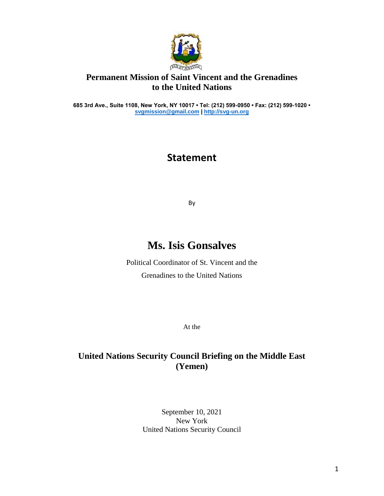

## **Permanent Mission of Saint Vincent and the Grenadines to the United Nations**

**685 3rd Ave., Suite 1108, New York, NY 10017 • Tel: (212) 599-0950 • Fax: (212) 599-1020 • [svgmission@gmail.com](mailto:svgmission@gmail.com) [| http://svg-un.org](http://svg-un.org/)**

## **Statement**

By

## **Ms. Isis Gonsalves**

Political Coordinator of St. Vincent and the Grenadines to the United Nations

At the

## **United Nations Security Council Briefing on the Middle East (Yemen)**

September 10, 2021 New York United Nations Security Council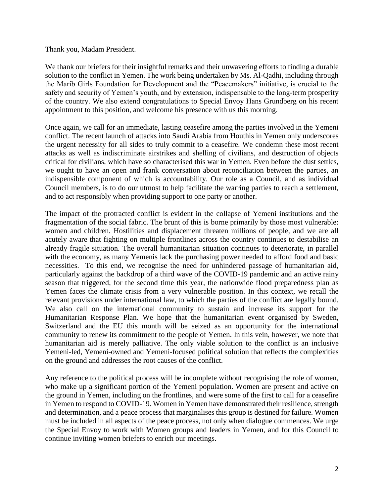Thank you, Madam President.

We thank our briefers for their insightful remarks and their unwavering efforts to finding a durable solution to the conflict in Yemen. The work being undertaken by Ms. Al-Qadhi, including through the Marib Girls Foundation for Development and the "Peacemakers" initiative, is crucial to the safety and security of Yemen's youth, and by extension, indispensable to the long-term prosperity of the country. We also extend congratulations to Special Envoy Hans Grundberg on his recent appointment to this position, and welcome his presence with us this morning.

Once again, we call for an immediate, lasting ceasefire among the parties involved in the Yemeni conflict. The recent launch of attacks into Saudi Arabia from Houthis in Yemen only underscores the urgent necessity for all sides to truly commit to a ceasefire. We condemn these most recent attacks as well as indiscriminate airstrikes and shelling of civilians, and destruction of objects critical for civilians, which have so characterised this war in Yemen. Even before the dust settles, we ought to have an open and frank conversation about reconciliation between the parties, an indispensible component of which is accountability. Our role as a Council, and as individual Council members, is to do our utmost to help facilitate the warring parties to reach a settlement, and to act responsibly when providing support to one party or another.

The impact of the protracted conflict is evident in the collapse of Yemeni institutions and the fragmentation of the social fabric. The brunt of this is borne primarily by those most vulnerable: women and children. Hostilities and displacement threaten millions of people, and we are all acutely aware that fighting on multiple frontlines across the country continues to destabilise an already fragile situation. The overall humanitarian situation continues to deteriorate, in parallel with the economy, as many Yemenis lack the purchasing power needed to afford food and basic necessities. To this end, we recognise the need for unhindered passage of humanitarian aid, particularly against the backdrop of a third wave of the COVID-19 pandemic and an active rainy season that triggered, for the second time this year, the nationwide flood preparedness plan as Yemen faces the climate crisis from a very vulnerable position. In this context, we recall the relevant provisions under international law, to which the parties of the conflict are legally bound. We also call on the international community to sustain and increase its support for the Humanitarian Response Plan. We hope that the humanitarian event organised by Sweden, Switzerland and the EU this month will be seized as an opportunity for the international community to renew its commitment to the people of Yemen. In this vein, however, we note that humanitarian aid is merely palliative. The only viable solution to the conflict is an inclusive Yemeni-led, Yemeni-owned and Yemeni-focused political solution that reflects the complexities on the ground and addresses the root causes of the conflict.

Any reference to the political process will be incomplete without recognising the role of women, who make up a significant portion of the Yemeni population. Women are present and active on the ground in Yemen, including on the frontlines, and were some of the first to call for a ceasefire in Yemen to respond to COVID-19. Women in Yemen have demonstrated their resilience, strength and determination, and a peace process that marginalises this group is destined for failure. Women must be included in all aspects of the peace process, not only when dialogue commences. We urge the Special Envoy to work with Women groups and leaders in Yemen, and for this Council to continue inviting women briefers to enrich our meetings.